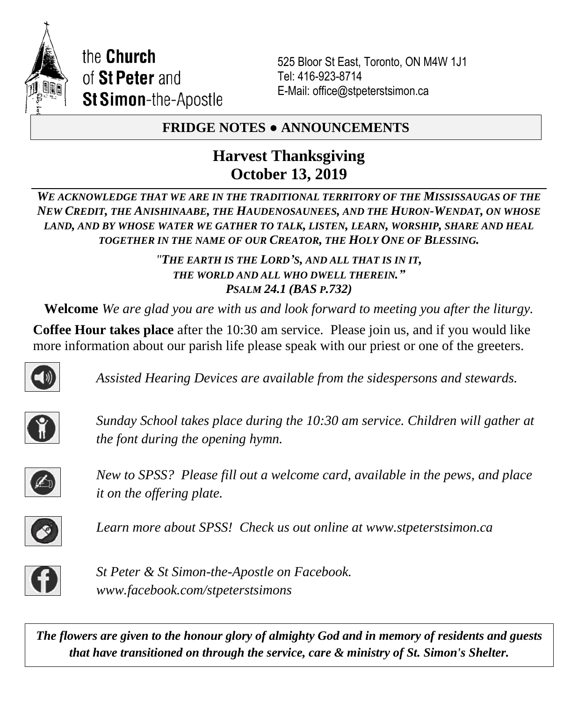

525 Bloor St East, Toronto, ON M4W 1J1 Tel: 416-923-8714 E-Mail: office@stpeterstsimon.ca

## **FRIDGE NOTES ● ANNOUNCEMENTS**

## **Harvest Thanksgiving October 13, 2019**

*WE ACKNOWLEDGE THAT WE ARE IN THE TRADITIONAL TERRITORY OF THE MISSISSAUGAS OF THE NEW CREDIT, THE ANISHINAABE, THE HAUDENOSAUNEES, AND THE HURON-WENDAT, ON WHOSE LAND, AND BY WHOSE WATER WE GATHER TO TALK, LISTEN, LEARN, WORSHIP, SHARE AND HEAL TOGETHER IN THE NAME OF OUR CREATOR, THE HOLY ONE OF BLESSING.*

> *"THE EARTH IS THE LORD'S, AND ALL THAT IS IN IT, THE WORLD AND ALL WHO DWELL THEREIN." PSALM 24.1 (BAS P.732)*

**Welcome** *We are glad you are with us and look forward to meeting you after the liturgy.*

**Coffee Hour takes place** after the 10:30 am service. Please join us, and if you would like more information about our parish life please speak with our priest or one of the greeters.



*Assisted Hearing Devices are available from the sidespersons and stewards.*



*Sunday School takes place during the 10:30 am service. Children will gather at the font during the opening hymn.*



*New to SPSS? Please fill out a welcome card, available in the pews, and place it on the offering plate.* 



*Learn more about SPSS! Check us out online at www.stpeterstsimon.ca* 



*St Peter & St Simon-the-Apostle on Facebook. www.facebook.com/stpeterstsimons*

*The flowers are given to the honour glory of almighty God and in memory of residents and guests that have transitioned on through the service, care & ministry of St. Simon's Shelter.*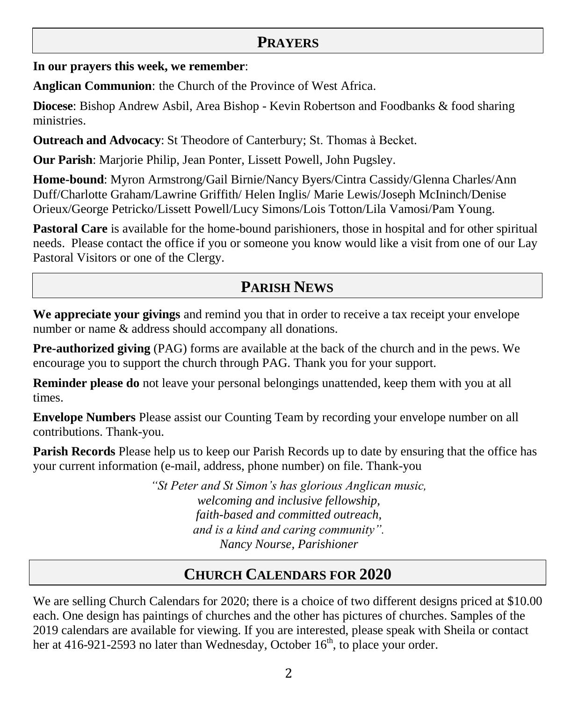## **PRAYERS**

**In our prayers this week, we remember**:

**Anglican Communion**: the Church of the Province of West Africa.

**Diocese**: Bishop Andrew Asbil, Area Bishop - Kevin Robertson and Foodbanks & food sharing ministries.

**Outreach and Advocacy**: St Theodore of Canterbury; St. Thomas à Becket.

**Our Parish**: Marjorie Philip, Jean Ponter, Lissett Powell, John Pugsley.

**Home-bound**: Myron Armstrong/Gail Birnie/Nancy Byers/Cintra Cassidy/Glenna Charles/Ann Duff/Charlotte Graham/Lawrine Griffith/ Helen Inglis/ Marie Lewis/Joseph McIninch/Denise Orieux/George Petricko/Lissett Powell/Lucy Simons/Lois Totton/Lila Vamosi/Pam Young.

**Pastoral Care** is available for the home-bound parishioners, those in hospital and for other spiritual needs. Please contact the office if you or someone you know would like a visit from one of our Lay Pastoral Visitors or one of the Clergy.

# **PARISH NEWS**

**We appreciate your givings** and remind you that in order to receive a tax receipt your envelope number or name & address should accompany all donations.

**Pre-authorized giving** (PAG) forms are available at the back of the church and in the pews. We encourage you to support the church through PAG. Thank you for your support.

**Reminder please do** not leave your personal belongings unattended, keep them with you at all times.

**Envelope Numbers** Please assist our Counting Team by recording your envelope number on all contributions. Thank-you.

**Parish Records** Please help us to keep our Parish Records up to date by ensuring that the office has your current information (e-mail, address, phone number) on file. Thank-you

> *"St Peter and St Simon's has glorious Anglican music, welcoming and inclusive fellowship, faith-based and committed outreach, and is a kind and caring community". Nancy Nourse, Parishioner*

## **CHURCH CALENDARS FOR 2020**

We are selling Church Calendars for 2020; there is a choice of two different designs priced at \$10.00 each. One design has paintings of churches and the other has pictures of churches. Samples of the 2019 calendars are available for viewing. If you are interested, please speak with Sheila or contact her at 416-921-2593 no later than Wednesday, October  $16<sup>th</sup>$ , to place your order.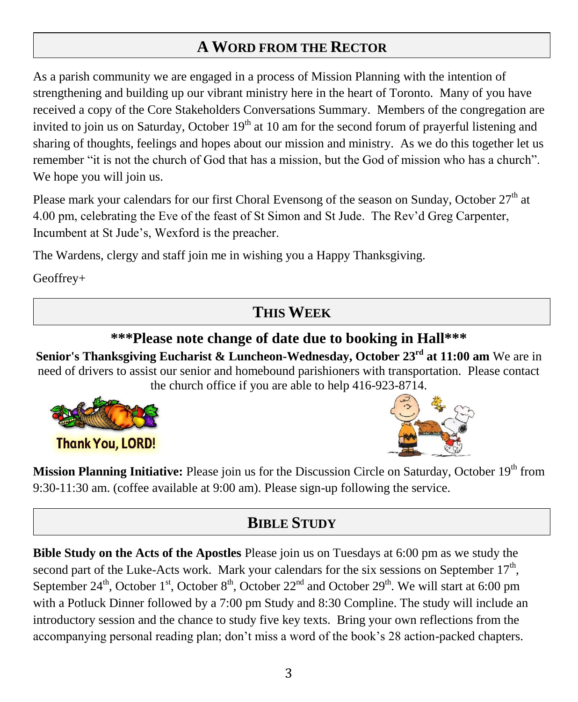# **A WORD FROM THE RECTOR**

As a parish community we are engaged in a process of Mission Planning with the intention of strengthening and building up our vibrant ministry here in the heart of Toronto. Many of you have received a copy of the Core Stakeholders Conversations Summary. Members of the congregation are invited to join us on Saturday, October  $19<sup>th</sup>$  at 10 am for the second forum of prayerful listening and sharing of thoughts, feelings and hopes about our mission and ministry. As we do this together let us remember "it is not the church of God that has a mission, but the God of mission who has a church". We hope you will join us.

Please mark your calendars for our first Choral Evensong of the season on Sunday, October  $27<sup>th</sup>$  at 4.00 pm, celebrating the Eve of the feast of St Simon and St Jude. The Rev'd Greg Carpenter, Incumbent at St Jude's, Wexford is the preacher.

The Wardens, clergy and staff join me in wishing you a Happy Thanksgiving.

Geoffrey+

## **THIS WEEK**

## **\*\*\*Please note change of date due to booking in Hall\*\*\***

**Senior's Thanksgiving Eucharist & Luncheon-Wednesday, October 23rd at 11:00 am** We are in need of drivers to assist our senior and homebound parishioners with transportation. Please contact the church office if you are able to help 416-923-8714.



**Thank You, LORD!** 



**Mission Planning Initiative:** Please join us for the Discussion Circle on Saturday, October 19th from 9:30-11:30 am. (coffee available at 9:00 am). Please sign-up following the service.

# **BIBLE STUDY**

**Bible Study on the Acts of the Apostles** Please join us on Tuesdays at 6:00 pm as we study the second part of the Luke-Acts work. Mark your calendars for the six sessions on September  $17<sup>th</sup>$ , September 24<sup>th</sup>, October 1<sup>st</sup>, October 8<sup>th</sup>, October 22<sup>nd</sup> and October 29<sup>th</sup>. We will start at 6:00 pm with a Potluck Dinner followed by a 7:00 pm Study and 8:30 Compline. The study will include an introductory session and the chance to study five key texts. Bring your own reflections from the accompanying personal reading plan; don't miss a word of the book's 28 action-packed chapters.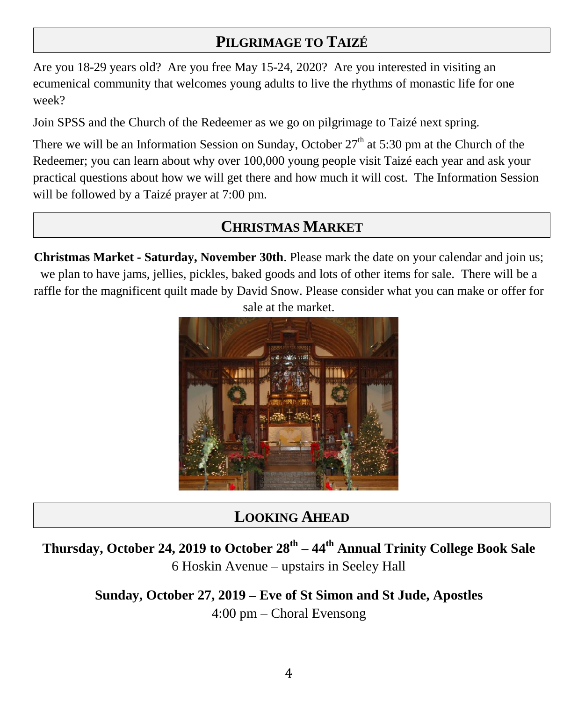# **PILGRIMAGE TO TAIZÉ**

Are you 18-29 years old? Are you free May 15-24, 2020? Are you interested in visiting an ecumenical community that welcomes young adults to live the rhythms of monastic life for one week?

Join SPSS and the Church of the Redeemer as we go on pilgrimage to Taizé next spring.

There we will be an Information Session on Sunday, October  $27<sup>th</sup>$  at 5:30 pm at the Church of the Redeemer; you can learn about why over 100,000 young people visit Taizé each year and ask your practical questions about how we will get there and how much it will cost. The Information Session will be followed by a Taizé prayer at 7:00 pm.

## **CHRISTMAS MARKET**

**Christmas Market - Saturday, November 30th**. Please mark the date on your calendar and join us; we plan to have jams, jellies, pickles, baked goods and lots of other items for sale. There will be a raffle for the magnificent quilt made by David Snow. Please consider what you can make or offer for sale at the market.



# **LOOKING AHEAD**

**Thursday, October 24, 2019 to October 28th – 44th Annual Trinity College Book Sale** 6 Hoskin Avenue – upstairs in Seeley Hall

> **Sunday, October 27, 2019 – Eve of St Simon and St Jude, Apostles** 4:00 pm – Choral Evensong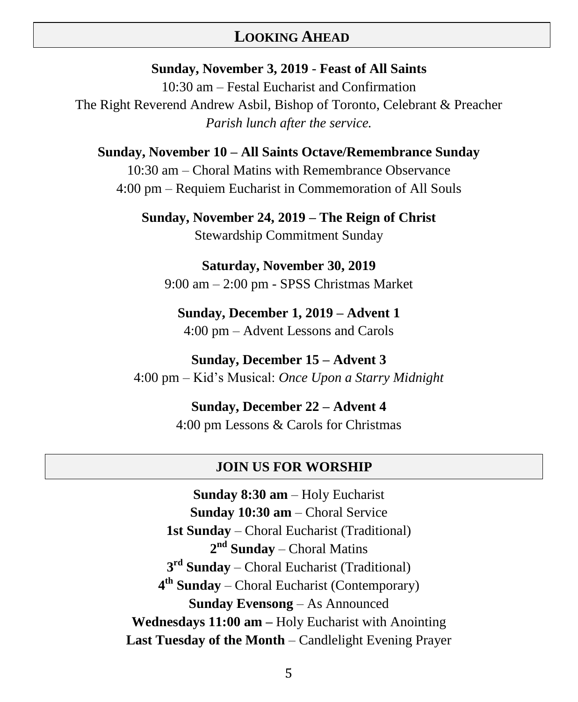### **LOOKING AHEAD**

#### **Sunday, November 3, 2019** - **Feast of All Saints**

10:30 am – Festal Eucharist and Confirmation The Right Reverend Andrew Asbil, Bishop of Toronto, Celebrant & Preacher *Parish lunch after the service.*

#### **Sunday, November 10 – All Saints Octave/Remembrance Sunday**

10:30 am – Choral Matins with Remembrance Observance 4:00 pm – Requiem Eucharist in Commemoration of All Souls

**Sunday, November 24, 2019 – The Reign of Christ** Stewardship Commitment Sunday

**Saturday, November 30, 2019** 9:00 am – 2:00 pm - SPSS Christmas Market

## **Sunday, December 1, 2019 – Advent 1**

4:00 pm – Advent Lessons and Carols

**Sunday, December 15 – Advent 3** 4:00 pm – Kid's Musical: *Once Upon a Starry Midnight*

> **Sunday, December 22 – Advent 4** 4:00 pm Lessons & Carols for Christmas

#### **JOIN US FOR WORSHIP**

**Sunday 8:30 am** – Holy Eucharist **Sunday 10:30 am** – Choral Service **1st Sunday** – Choral Eucharist (Traditional) **2 nd Sunday** – Choral Matins **3 rd Sunday** – Choral Eucharist (Traditional) **4 th Sunday** – Choral Eucharist (Contemporary) **Sunday Evensong** – As Announced **Wednesdays 11:00 am –** Holy Eucharist with Anointing **Last Tuesday of the Month** – Candlelight Evening Prayer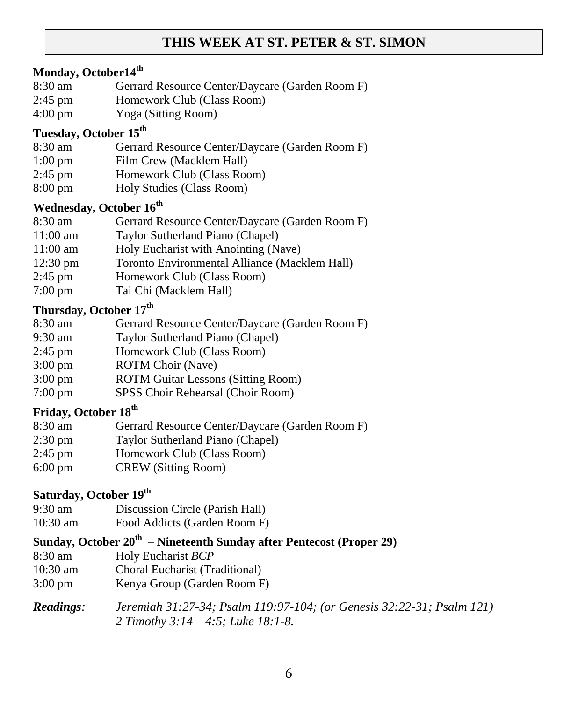### **THIS WEEK AT ST. PETER & ST. SIMON**

### **Monday, October14th**

- 8:30 am Gerrard Resource Center/Daycare (Garden Room F)
- 2:45 pm Homework Club (Class Room)
- 4:00 pm Yoga (Sitting Room)

### **Tuesday, October 15th**

- 8:30 am Gerrard Resource Center/Daycare (Garden Room F)
- 1:00 pm Film Crew (Macklem Hall)
- 2:45 pm Homework Club (Class Room)
- 8:00 pm Holy Studies (Class Room)

### **Wednesday, October 16th**

- 8:30 am Gerrard Resource Center/Daycare (Garden Room F)
- 11:00 am Taylor Sutherland Piano (Chapel)
- 11:00 am Holy Eucharist with Anointing (Nave)
- 12:30 pm Toronto Environmental Alliance (Macklem Hall)
- 2:45 pm Homework Club (Class Room)
- 7:00 pm Tai Chi (Macklem Hall)

### **Thursday, October 17th**

- 8:30 am Gerrard Resource Center/Daycare (Garden Room F)
- 9:30 am Taylor Sutherland Piano (Chapel)
- 2:45 pm Homework Club (Class Room)
- 3:00 pm ROTM Choir (Nave)
- 3:00 pm ROTM Guitar Lessons (Sitting Room)
- 7:00 pm SPSS Choir Rehearsal (Choir Room)

### **Friday, October 18th**

- 8:30 am Gerrard Resource Center/Daycare (Garden Room F)
- 2:30 pm Taylor Sutherland Piano (Chapel)
- 2:45 pm Homework Club (Class Room)
- 6:00 pm CREW (Sitting Room)

### **Saturday, October 19th**

- 9:30 am Discussion Circle (Parish Hall)
- 10:30 am Food Addicts (Garden Room F)

### **Sunday, October 20th – Nineteenth Sunday after Pentecost (Proper 29)**

- 8:30 am Holy Eucharist *BCP*
- 10:30 am Choral Eucharist (Traditional)
- 3:00 pm Kenya Group (Garden Room F)

### *Readings: Jeremiah 31:27-34; Psalm 119:97-104; (or Genesis 32:22-31; Psalm 121) 2 Timothy 3:14 – 4:5; Luke 18:1-8.*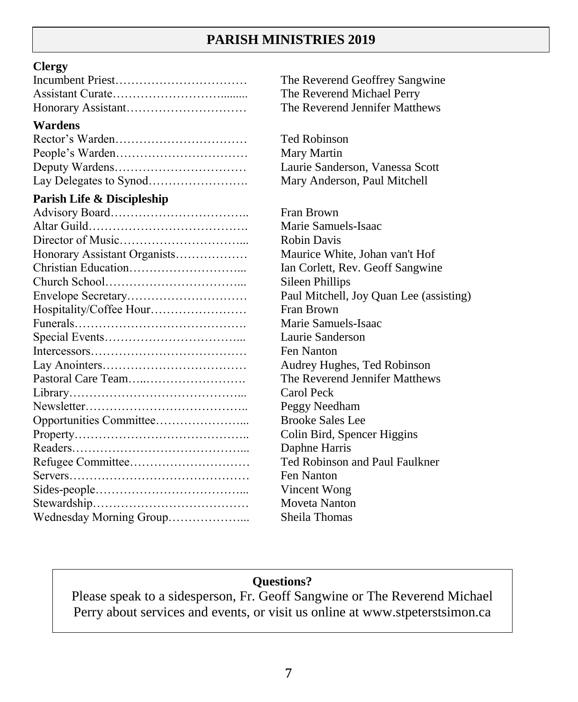## **PARISH MINISTRIES 2019**

#### **Clergy**

#### **Wardens**

#### **Parish Life & Discipleship**

| Honorary Assistant Organists |
|------------------------------|
|                              |
|                              |
|                              |
| Hospitality/Coffee Hour      |
|                              |
|                              |
|                              |
|                              |
|                              |
|                              |
|                              |
|                              |
|                              |
|                              |
|                              |
|                              |
|                              |
|                              |
| Wednesday Morning Group      |

The Reverend Geoffrey Sangwine The Reverend Michael Perry The Reverend Jennifer Matthews

Ted Robinson Mary Martin Laurie Sanderson, Vanessa Scott Mary Anderson, Paul Mitchell

Fran Brown Marie Samuels-Isaac Robin Davis Maurice White, Johan van't Hof Ian Corlett, Rev. Geoff Sangwine Sileen Phillips Paul Mitchell, Joy Quan Lee (assisting) Fran Brown Marie Samuels-Isaac Laurie Sanderson Fen Nanton Audrey Hughes, Ted Robinson The Reverend Jennifer Matthews Carol Peck Peggy Needham **Brooke Sales Lee** Colin Bird, Spencer Higgins Daphne Harris Ted Robinson and Paul Faulkner Fen Nanton Vincent Wong Moveta Nanton Sheila Thomas

### **Questions?**

Please speak to a sidesperson, Fr. Geoff Sangwine or The Reverend Michael Perry about services and events, or visit us online at [www.stpeterstsimon.ca](http://www.stpeterstsimon.ca/)